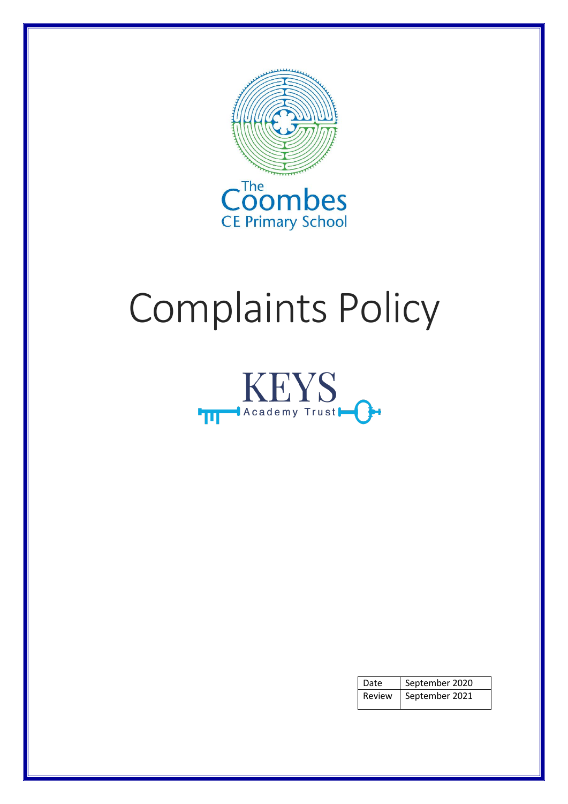

# Complaints Policy



| Date   | September 2020 |
|--------|----------------|
| Review | September 2021 |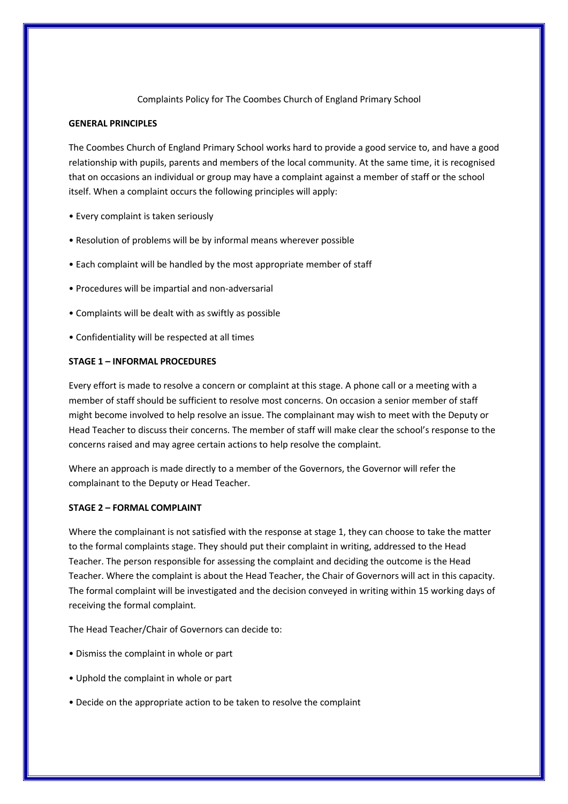## Complaints Policy for The Coombes Church of England Primary School

## **GENERAL PRINCIPLES**

The Coombes Church of England Primary School works hard to provide a good service to, and have a good relationship with pupils, parents and members of the local community. At the same time, it is recognised that on occasions an individual or group may have a complaint against a member of staff or the school itself. When a complaint occurs the following principles will apply:

- Every complaint is taken seriously
- Resolution of problems will be by informal means wherever possible
- Each complaint will be handled by the most appropriate member of staff
- Procedures will be impartial and non-adversarial
- Complaints will be dealt with as swiftly as possible
- Confidentiality will be respected at all times

## **STAGE 1 – INFORMAL PROCEDURES**

Every effort is made to resolve a concern or complaint at this stage. A phone call or a meeting with a member of staff should be sufficient to resolve most concerns. On occasion a senior member of staff might become involved to help resolve an issue. The complainant may wish to meet with the Deputy or Head Teacher to discuss their concerns. The member of staff will make clear the school's response to the concerns raised and may agree certain actions to help resolve the complaint.

Where an approach is made directly to a member of the Governors, the Governor will refer the complainant to the Deputy or Head Teacher.

## **STAGE 2 – FORMAL COMPLAINT**

Where the complainant is not satisfied with the response at stage 1, they can choose to take the matter to the formal complaints stage. They should put their complaint in writing, addressed to the Head Teacher. The person responsible for assessing the complaint and deciding the outcome is the Head Teacher. Where the complaint is about the Head Teacher, the Chair of Governors will act in this capacity. The formal complaint will be investigated and the decision conveyed in writing within 15 working days of receiving the formal complaint.

The Head Teacher/Chair of Governors can decide to:

- Dismiss the complaint in whole or part
- Uphold the complaint in whole or part
- Decide on the appropriate action to be taken to resolve the complaint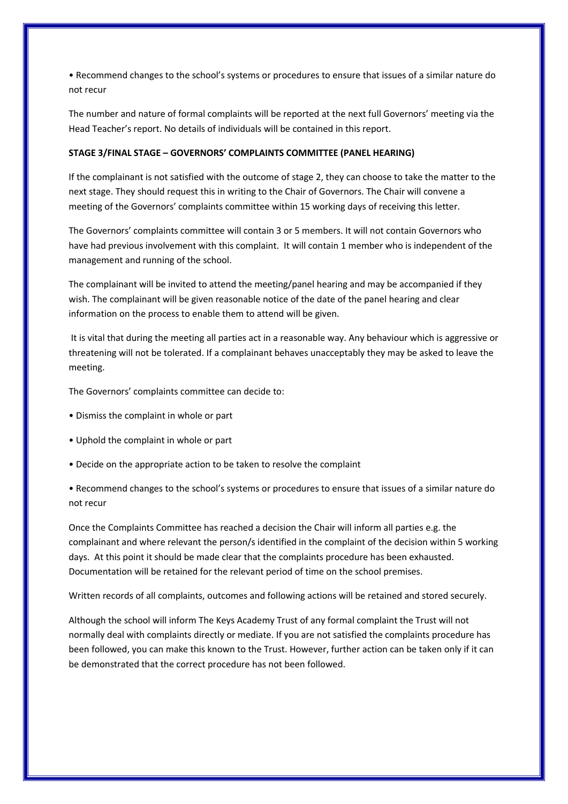• Recommend changes to the school's systems or procedures to ensure that issues of a similar nature do not recur

The number and nature of formal complaints will be reported at the next full Governors' meeting via the Head Teacher's report. No details of individuals will be contained in this report.

#### **STAGE 3/FINAL STAGE – GOVERNORS' COMPLAINTS COMMITTEE (PANEL HEARING)**

If the complainant is not satisfied with the outcome of stage 2, they can choose to take the matter to the next stage. They should request this in writing to the Chair of Governors. The Chair will convene a meeting of the Governors' complaints committee within 15 working days of receiving this letter.

The Governors' complaints committee will contain 3 or 5 members. It will not contain Governors who have had previous involvement with this complaint. It will contain 1 member who is independent of the management and running of the school.

The complainant will be invited to attend the meeting/panel hearing and may be accompanied if they wish. The complainant will be given reasonable notice of the date of the panel hearing and clear information on the process to enable them to attend will be given.

It is vital that during the meeting all parties act in a reasonable way. Any behaviour which is aggressive or threatening will not be tolerated. If a complainant behaves unacceptably they may be asked to leave the meeting.

The Governors' complaints committee can decide to:

- Dismiss the complaint in whole or part
- Uphold the complaint in whole or part
- Decide on the appropriate action to be taken to resolve the complaint

• Recommend changes to the school's systems or procedures to ensure that issues of a similar nature do not recur

Once the Complaints Committee has reached a decision the Chair will inform all parties e.g. the complainant and where relevant the person/s identified in the complaint of the decision within 5 working days. At this point it should be made clear that the complaints procedure has been exhausted. Documentation will be retained for the relevant period of time on the school premises.

Written records of all complaints, outcomes and following actions will be retained and stored securely.

Although the school will inform The Keys Academy Trust of any formal complaint the Trust will not normally deal with complaints directly or mediate. If you are not satisfied the complaints procedure has been followed, you can make this known to the Trust. However, further action can be taken only if it can be demonstrated that the correct procedure has not been followed.